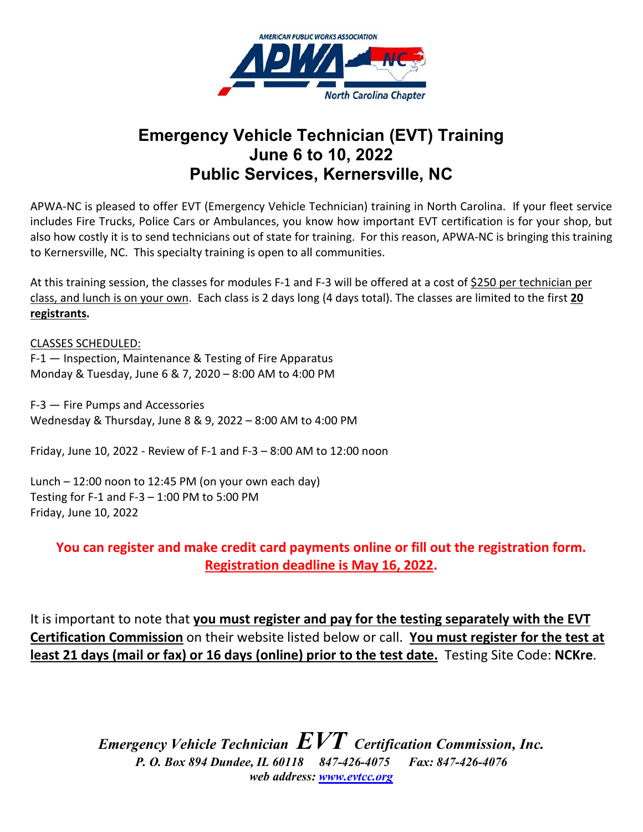

## **Emergency Vehicle Technician (EVT) Training June 6 to 10, 2022 Public Services, Kernersville, NC**

APWA-NC is pleased to offer EVT (Emergency Vehicle Technician) training in North Carolina. If your fleet service includes Fire Trucks, Police Cars or Ambulances, you know how important EVT certification is for your shop, but also how costly it is to send technicians out of state for training. For this reason, APWA-NC is bringing this training to Kernersville, NC. This specialty training is open to all communities.

At this training session, the classes for modules F-1 and F-3 will be offered at a cost of \$250 per technician per class, and lunch is on your own. Each class is 2 days long (4 days total). The classes are limited to the first **20 registrants.**

CLASSES SCHEDULED: F-1 — Inspection, Maintenance & Testing of Fire Apparatus Monday & Tuesday, June 6 & 7, 2020 – 8:00 AM to 4:00 PM

F-3 — Fire Pumps and Accessories Wednesday & Thursday, June 8 & 9, 2022 – 8:00 AM to 4:00 PM

Friday, June 10, 2022 - Review of F-1 and F-3 – 8:00 AM to 12:00 noon

Lunch – 12:00 noon to 12:45 PM (on your own each day) Testing for F-1 and F-3  $-$  1:00 PM to 5:00 PM Friday, June 10, 2022

**You can register and make credit card payments online or fill out the registration form. Registration deadline is May 16, 2022.**

It is important to note that **you must register and pay for the testing separately with the EVT Certification Commission** on their website listed below or call. **You must register for the test at least 21 days (mail or fax) or 16 days (online) prior to the test date.** Testing Site Code: **NCKre**.

> *Emergency Vehicle Technician EVT Certification Commission, Inc. P. O. Box 894 Dundee, IL 60118 847-426-4075 Fax: 847-426-4076 web address: [www.evtcc.org](http://www.evtcc.org/)*